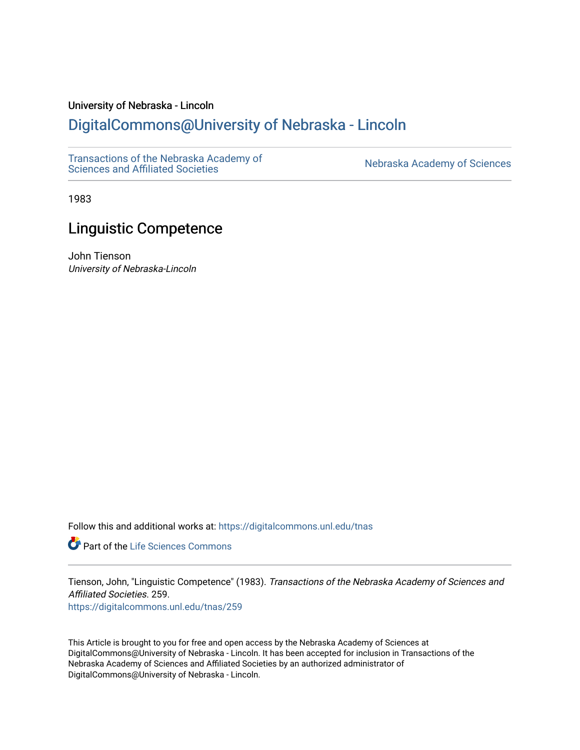# University of Nebraska - Lincoln

# [DigitalCommons@University of Nebraska - Lincoln](https://digitalcommons.unl.edu/)

[Transactions of the Nebraska Academy of](https://digitalcommons.unl.edu/tnas)  Transactions of the Nebraska Academy of Sciences<br>Sciences and Affiliated Societies

1983

# Linguistic Competence

John Tienson University of Nebraska-Lincoln

Follow this and additional works at: [https://digitalcommons.unl.edu/tnas](https://digitalcommons.unl.edu/tnas?utm_source=digitalcommons.unl.edu%2Ftnas%2F259&utm_medium=PDF&utm_campaign=PDFCoverPages) 

Part of the [Life Sciences Commons](http://network.bepress.com/hgg/discipline/1016?utm_source=digitalcommons.unl.edu%2Ftnas%2F259&utm_medium=PDF&utm_campaign=PDFCoverPages) 

Tienson, John, "Linguistic Competence" (1983). Transactions of the Nebraska Academy of Sciences and Affiliated Societies. 259. [https://digitalcommons.unl.edu/tnas/259](https://digitalcommons.unl.edu/tnas/259?utm_source=digitalcommons.unl.edu%2Ftnas%2F259&utm_medium=PDF&utm_campaign=PDFCoverPages) 

This Article is brought to you for free and open access by the Nebraska Academy of Sciences at DigitalCommons@University of Nebraska - Lincoln. It has been accepted for inclusion in Transactions of the Nebraska Academy of Sciences and Affiliated Societies by an authorized administrator of DigitalCommons@University of Nebraska - Lincoln.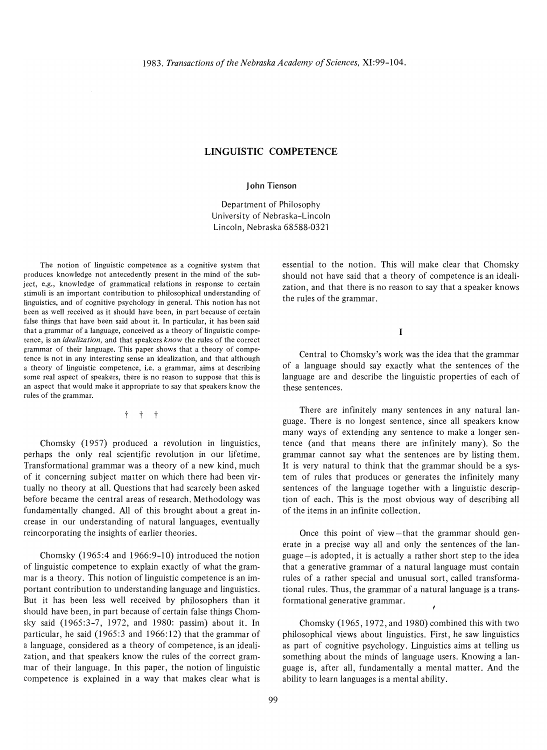# **LINGUISTIC COMPETENCE**

#### **John Tienson**

Department of Philosophy University of Nebraska-Lincoln Lincoln, Nebraska 68588-0321

The notion of linguistic competence as a cognitive system that produces knowledge not antecedently present in the mind of the subject, e.g., knowledge of grammatical relations in response to certain stimuli is an important contribution to philosophical understanding of linguistics, and of cognitive psychology in general. This notion has not been as well received as it should have been, in part because of certain false things that have been said about it. In particular, it has been said that a grammar of a language, conceived as a theory of linguistic competence, is an *idealiza tion,* and that speakers *know* the rules of the correct grammar of their language. This paper shows that a theory of competence is not in any interesting sense an idealization, and that although a theory of linguistic competence, i.e. a grammar, aims at describing some real aspect of speakers, there is no reason to suppose that this is an aspect that would make it appropriate to say that speakers know the rules of the grammar.

t t t

Chomsky (1957) produced a revolution in linguistics, perhaps the only real scientific revolution in our lifetime. Transformational grammar was a theory of a new kind, much of it concerning subject matter on which there had been virtually no theory at all. Questions that had scarcely been asked before became the central areas of research. Methodology was fundamentally changed. All of this brought about a great increase in our understanding of natural languages, eventually reincorporating the insights of earlier theories.

Chomsky (1965:4 and 1966:9-10) introduced the notion of linguistic competence to explain exactly of what the grammar is a theory. This notion of linguistic competence is an important contribution to understanding language and linguistics. But it has been less well received by philosophers than it should have been, in part because of certain false things Chomsky said (1965:3-7, 1972, and 1980: passim) about it. In particular, he said  $(1965:3$  and  $1966:12)$  that the grammar of a language, considered as a theory of competence, is an idealization, and that speakers know the rules of the correct grammar of their language. In this paper, the notion of linguistic competence is explained in a way that makes clear what is

essential to the notion. This will make clear that Chomsky should not have said that a theory of competence is an idealization, and that there is no reason to say that a speaker knows the rules of the grammar.

I

Central to Chomsky's work was the idea that the grammar of a language should say exactly what the sentences of the language are and describe the linguistic properties of each of these sentences.

There are infinitely many sentences in any natural language. There is no longest sentence, since all speakers know many ways of extending any sentence to make a longer sentence (and that means there are infinitely many). So the grammar cannot say what the sentences are by listing them. It is very natural to think that the grammar should be a system of rules that produces or generates the infinitely many sentences of the language together with a linguistic description of each. This is the most obvious way of describing all of the items in an infinite collection.

Once this point of view-that the grammar should generate in a precise way all and only the sentences of the language-is adopted, it is actually a rather short step to the idea that a generative grammar of a natural language must contain rules of a rather special and unusual sort, called transformational rules. Thus, the grammar of a natural language is a transformational generative grammar.

Chomsky (1965,1972, and 1980) combined this with two philosophical views about linguistics. First, he saw linguistics as part of cognitive psychology. Linguistics aims at telling us something about the minds of language users. Knowing a language is, after all, fundamentally a mental matter. And the ability to learn languages is a mental ability.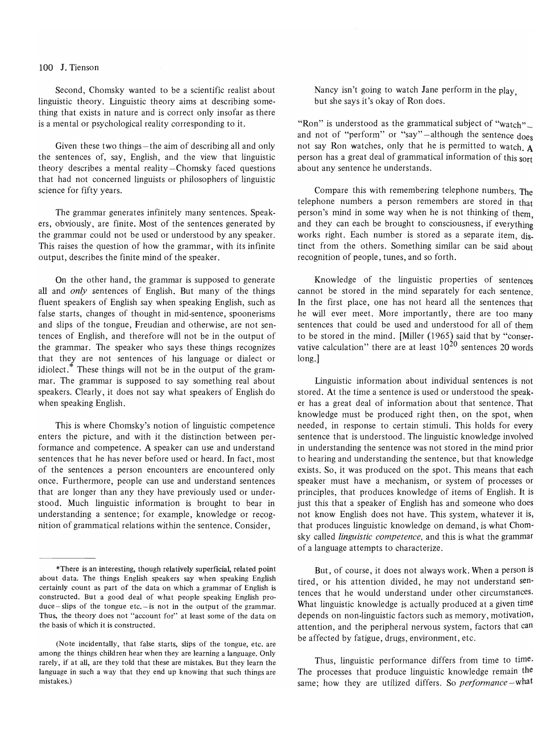#### 100 J. Tienson

Second, Chomsky wanted to be a scientific realist about linguistic theory. Linguistic theory aims at describing something that exists in nature and is correct only insofar as there is a mental or psychological reality corresponding to it.

Given these two things—the aim of describing all and only the sentences of, say, English, and the view that linguistic theory describes a mental reality $-$ Chomsky faced questions that had not concerned linguists or philosophers of linguistic science for fifty years.

The grammar generates infinitely many sentences. Speakers, obviously, are finite. Most of the sentences generated by the grammar could not be used or understood by any speaker. This raises the question of how the grammar, with its infinite output, describes the finite mind of the speaker.

On the other hand, the grammar is supposed to generate all and *only* sentences of English. But many of the things fluent speakers of English say when speaking English, such as false starts, changes of thought in mid-sentence, spoonerisms and slips of the tongue, Freudian and otherwise, are not sentences of English, and therefore will not be in the output of the grammar. The speaker who says these things recognizes that they are not sentences of his language or dialect or idiolect.\* These things will not be in the output of the grammar. The grammar is supposed to say something real about speakers. Clearly, it does not say what speakers of English do when speaking English.

This is where Chomsky's notion of linguistic competence enters the picture, and with it the distinction between performance and competence. A speaker can use and understand sentences that he has never before used or heard. In fact, most of the sentences a person encounters are encountered only once. Furthermore, people can use and understand sentences that are longer than any they have previously used or understood. Much linguistic information is brought to bear in understanding a sentence; for example, knowledge or recognition of grammatical relations within the sentence. Consider,

Nancy isn't going to watch Jane perform in the play. but she says it's okay of Ron does.

"Ron" is understood as the grammatical subject of "watch" and not of "perform" or "say"-although the sentence  $d$ oes not say Ron watches, only that he is permitted to watch. A person has a great deal of grammatical information of this sort about any sentence he understands.

Compare this with remembering telephone numbers. The telephone numbers a person remembers are stored in that person's mind in some way when he is not thinking of them and they can each be brought to consciousness, if everything works right. Each number is stored as a separate item, distinct from the others. Something similar can be said about recognition of people, tunes, and so forth.

Knowledge of the linguistic properties of sentences cannot be stored in the mind separately for each sentence. In the first place, one has not heard all the sentences that he will ever meet. More importantly, there are too many sentences that could be used and understood for all of them to be stored in the mind. [Miller (1965) said that by "conservative calculation" there are at least  $10^{20}$  sentences 20 words long.]

Linguistic information about individual sentences is not stored. At the time a sentence is used or understood the speaker has a great deal of information about that sentence. That knowledge must be produced right then, on the spot, when needed, in response to certain stimuli. This holds for every sentence that is understood. The linguistic knowledge involved in understanding the sentence was not stored in the mind prior to hearing and understanding the sentence, but that knowledge exists. So, it was produced on the spot. This means that each speaker must have a mechanism, or system of processes or principles, that produces knowledge of items of English. It is just this that a speaker of English has and someone who does not know English does not have. This system, whatever it is, that produces linguistic knowledge on demand, is what Chomsky called *linguistic competence,* and this is what the grammar of a language attempts to characterize.

But, of course, it does not always work. When a person is tired, or his attention divided, he may not understand sentences that he would understand under other circumstances. What linguistic knowledge is actually produced at a given time depends on non-linguistic factors such as memory, motivation, attention, and the peripheral nervous system, factors that can be affected by fatigue, drugs, environment, etc.

Thus, linguistic performance differs from time to time. The processes that produce linguistic knowledge remain the same; how they are utilized differs. So *performance* - what

<sup>\*</sup>There is an interesting, though relatively superficial, related point about data. The things English speakers say when speaking English certainly count as part of the data on which a grammar of English is constructed. But a good deal of what people speaking English pro $duce-slips$  of the tongue etc. $-is$  not in the output of the grammar. Thus, the theory does not "account for" at least some of the data on the basis of which it is constructed.

<sup>(</sup>Note incidentally, that false starts, slips of the tongue, etc. are among the things children hear when they are learning a language. Only rarely, if at all, are they told that these are mistakes. But they learn the language in such a way that they end up knowing that such things are mistakes.)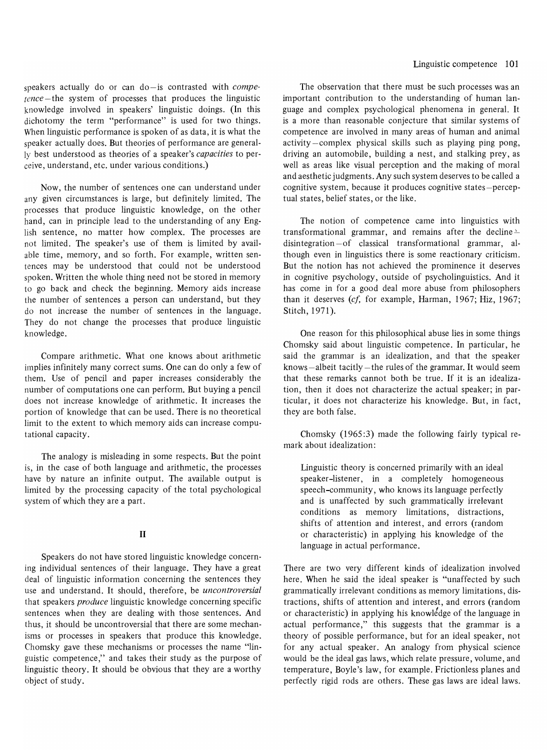speakers actually do or can do-is contrasted with *competence* – the system of processes that produces the linguistic knowledge involved in speakers' linguistic doings. (In this dichotomy the term "performance" is used for two things. When linguistic performance is spoken of as data, it is what the speaker actually does. But theories of performance are generally best understood as theories of a speaker's *capacities* to perceive, understand, etc. under various conditions.)

Now, the number of sentences one can understand under any given circumstances is large, but definitely limited. The processes that produce linguistic knowledge, on the other hand, can in principle lead to the understanding of any English sentence, no matter how complex. The processes are not limited. The speaker's use of them is limited by available time, memory, and so forth. For example, written sentences may be understood that could not be understood spoken. Written the whole thing need not be stored in memory to go back and check the beginning. Memory aids increase the number of sentences a person can understand, but they do not increase the number of sentences in the language. They do not change the processes that produce linguistic knowledge.

Compare arithmetic. What one knows about arithmetic implies infinitely many correct sums. One can do only a few of them. Use of pencil and paper increases considerably the number of computations one can perform. But buying a pencil does not increase knowledge of arithmetic. It increases the portion of knowledge that can be used. There is no theoretical limit to the extent to which memory aids can increase computational capacity.

The analogy is misleading in some respects. But the point is, in the case of both language and arithmetic, the processes have by nature an infinite output. The available output is limited by the processing capacity of the total psychological system of which they are a part.

## II

Speakers do not have stored linguistic knowledge concerning individual sentences of their language. They have a great deal of linguistic information concerning the sentences they use and understand. It should, therefore, be *uncontroversial*  that speakers *produce* linguistic knowledge concerning specific sentences when they are dealing with those sentences. And thus, it should be uncontroversial that there are some mechanisms or processes in speakers that produce this knowledge. Chomsky gave these mechanisms or processes the name "linguistic competence," and takes their study as the purpose of linguistic theory. It should be obvious that they are a worthy object of study.

The observation that there must be such processes was an important contribution to the understanding of human language and complex psychological phenomena in general. It is a more than reasonable conjecture that similar systems of competence are involved in many areas of human and animal activity -complex physical skills such as playing ping pong, driving an automobile, building a nest, and stalking prey, as well as areas like visual perception and the making of moral and aesthetic judgments. Any such system deserves to be called a cognitive system, because it produces cognitive states-perceptual states, belief states, or the like.

The notion of competence came into linguistics with transformational grammar, and remains after the decline $$ disintegration-of classical transformational grammar, although even in linguistics there is some reactionary criticism. But the notion has not achieved the prominence it deserves in cognitive psychology, outside of psycholinguistics. And it has come in for a good deal more abuse from philosophers than it deserves (cf, for example, Harman, 1967; Hiz, 1967; Stitch, 1971).

One reason for this philosophical abuse lies in some things Chomsky said about linguistic competence. In particular, he said the grammar is an idealization, and that the speaker  $k$ nows  $-$ albeit tacitly  $-$ the rules of the grammar. It would seem that these remarks cannot both be true. If it is an idealization, then it does not characterize the actual speaker; in particular, it does not characterize his knowledge. But, in fact, they are both false.

Chomsky (1965:3) made the following fairly typical remark about idealization:

Linguistic theory is concerned primarily with an ideal speaker-listener, in a completely homogeneous speech-community, who knows its language perfectly and is unaffected by such grammatically irrelevant conditions as memory limitations, distractions, shifts of attention and interest, and errors (random or characteristic) in applying his knowledge of the language in actual performance.

There are two very different kinds of idealization involved here. When he said the ideal speaker is "unaffected by such grammatically irrelevant conditions as memory limitations, distractions, shifts of attention and interest, and errors (random or characteristic) in applying his knowledge of the language in actual performance," this suggests that the grammar is a theory of possible performance, but for an ideal speaker, not for any actual speaker. An analogy from physical science would be the ideal gas laws, which relate pressure, volume, and temperature, Boyle's law, for example. Frictionless planes and perfectly rigid rods are others. These gas laws are ideal laws.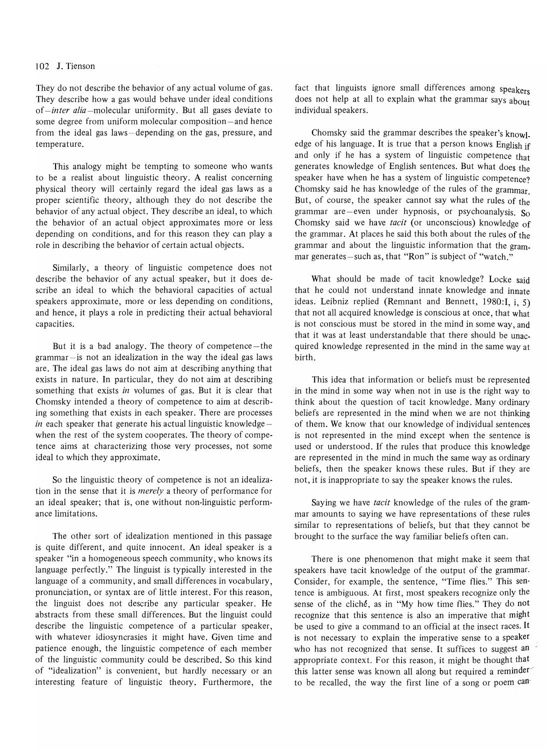### 102 J. Tienson

They do not describe the behavior of any actual volume of gas. They describe how a gas would behave under ideal conditions of *-inter alia* -molecular uniformity. But all gases deviate to some degree from uniform molecular composition-and hence from the ideal gas laws-depending on the gas, pressure, and temperature.

This analogy might be tempting to someone who wants to be a realist about linguistic theory. A realist concerning physical theory will certainly regard the ideal gas laws as a proper scientific theory, although they do not describe the behavior of any actual object. They describe an ideal, to which the behavior of an actual object approximates more or less depending on conditions, and for this reason they can playa role in describing the behavior of certain actual objects.

Similarly, a theory of linguistic competence does not describe the behavior of any actual speaker, but it does describe an ideal to which the behavioral capacities of actual speakers approximate, more or less depending on conditions, and hence, it plays a role in predicting their actual behavioral capacities.

But it is a bad analogy. The theory of competence-the grammar-is not an idealization in the way the ideal gas laws are. The ideal gas laws do not aim at describing anything that exists in nature. In particular, they do not aim at describing something that exists *in* volumes of gas. But it is clear that Chomsky intended a theory of competence to aim at describing something that exists in each speaker. There are processes in each speaker that generate his actual linguistic knowledgewhen the rest of the system cooperates. The theory of competence aims at characterizing those very processes, not some ideal to which they approximate.

So the linguistic theory of competence is not an idealization in the sense that it is *merely* a theory of performance for an ideal speaker; that is, one without non-linguistic performance limitations.

The other sort of idealization mentioned in this passage is quite different, and quite innocent. An ideal speaker is a speaker "in a homogeneous speech community, who knows its language perfectly." The linguist is typically interested in the language of a community, and small differences in vocabulary, pronunciation, or syntax are of little interest. For this reason, the linguist does not describe any particular speaker. He abstracts from these small differences. But the linguist could describe the linguistic competence of a particular speaker, with whatever idiosyncrasies it might have. Given time and patience enough, the linguistic competence of each member of the linguistic community could be described. So this kind of "idealization" is convenient, but hardly necessary or an interesting feature of linguistic theory. Furthermore, the fact that linguists ignore small differences among speakers does not help at all to explain what the grammar says about individual speakers.

Chomsky said the grammar describes the speaker's knowl. edge of his language. It is true that a person knows English if and only if he has a system of linguistic competence that generates knowledge of English sentences. But what does the speaker have when he has a system of linguistic competence? Chomsky said he has knowledge of the rules of the grammar. But, of course, the speaker cannot say what the rules of the grammar are -even under hypnosis, or psychoanalysis.  $S_0$ Chomsky said we have *tacit* (or unconscious) knowledge of the grammar. At places he said this both about the rules of the grammar and about the linguistic information that the grammar generates-such as, that "Ron" is subject of "watch."

What should be made of tacit knowledge? Locke said that he could not understand innate knowledge and innate ideas. Leibniz replied (Remnant and Bennett, 1980:I, i, 5) that not all acquired knowledge is conscious at once, that what is not conscious must be stored in the mind in some way, and that it was at least understandable that there should be unacquired knowledge represented in the mind in the same way at birth.

This idea that information or beliefs must be represented in the mind in some way when not in use is the right way to think about the question of tacit knowledge. Many ordinary beliefs are represented in the mind when we are not thinking of them. We know that our knowledge of individual sentences is not represented in the mind except when the sentence is used or understood. If the rules that produce this knowledge are represented in the mind in much the same way as ordinary beliefs, then the speaker knows these rules. But if they are not, it is inappropriate to say the speaker knows the rules.

Saying we have *tacit* knowledge of the rules of the grammar amounts to saying we have representations of these rules similar to representations of beliefs, but that they cannot be brought to the surface the way familiar beliefs often can.

There is one phenomenon that might make it seem that speakers have tacit knowledge of the output of the grammar. Consider, for example, the sentence, "Time flies." This sentence is ambiguous. At first, most speakers recognize only the sense of the cliché, as in "My how time flies." They do not recognize that this sentence is also an imperative that might be used to give a command to an official at the insect races. It is not necessary to explain the imperative sense to a speaker who has not recognized that sense. It suffices to suggest an appropriate context. For this reason, it might be thought that this latter sense was known all along but required a reminder to be recalled, the way the first line of a song or poem  $can$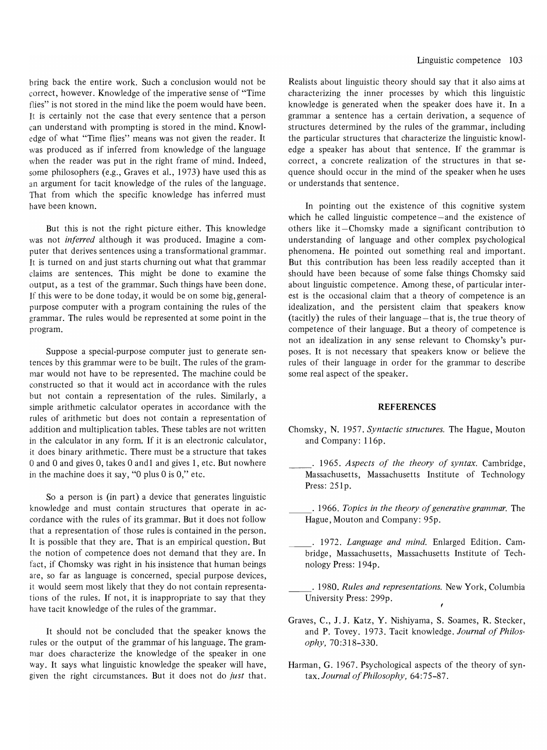bring back the entire work. Such a conclusion would not be correct, however. Knowledge of the imperative sense of "Time flies" is not stored in the mind like the poem would have been. It is certainly not the case that every sentence that a person can understand with prompting is stored in the mind. Knowledge of what "Time flies" means was not given the reader. It was produced as if inferred from knowledge of the language when the reader was put in the right frame of mind. Indeed, some philosophers (e.g., Graves et aI., 1973) have used this as an argument for tacit knowledge of the rules of the language. That from which the specific knowledge has inferred must have been known.

But this is not the right picture either. This knowledge was not *inferred* although it was produced. Imagine a computer that derives sentences using a transformational grammar. It is turned on and just starts churning out what that grammar claims are sentences. This might be done to examine the output, as a test of the grammar. Such things have been done. If this were to be done today, it would be on some big, generalpurpose computer with a program containing the rules of the grammar. The rules would be represented at some point in the program.

Suppose a special-purpose computer just to generate sentences by this grammar were to be built. The rules of the grammar would not have to be represented. The machine could be constructed so that it would act in accordance with the rules but not contain a representation of the rules. Similarly, a simple arithmetic calculator operates in accordance with the rules of arithmetic but does not contain a representation of addition and multiplication tables. These tables are not written in the calculator in any form. If it is an electronic calculator, it does binary arithmetic. There must be a structure that takes  $0$  and  $0$  and gives  $0$ , takes  $0$  and  $1$  and gives  $1$ , etc. But nowhere in the machine does it say, "0 plus  $0$  is  $0$ ," etc.

So a person is (in part) a device that generates linguistic knowledge and must contain structures that operate in accordance with the rules of its grammar. But it does not follow that a representation of those rules is contained in the person. It is possible that they are. That is an empirical question. But the notion of competence does not demand that they are. In fact, if Chomsky was right in his insistence that human beings are, so far as language is concerned, special purpose devices, it would seem most likely that they do not contain representations of the rules. If not, it is inappropriate to say that they have tacit knowledge of the rules of the grammar.

It should not be concluded that the speaker knows the rules or the output of the grammar of his language. The grammar does characterize the knowledge of the speaker in one way. It says what linguistic knowledge the speaker will have, given the right circumstances. But it does not do *just* that. Realists about linguistic theory should say that it also aims at characterizing the inner processes by which this linguistic knowledge is generated when the speaker does have it. In a grammar a sentence has a certain derivation, a sequence of structures determined by the rules of the grammar, including the particular structures that characterize the linguistic knowledge a speaker has about that sentence. If the grammar is correct, a concrete realization of the structures in that sequence should occur in the mind of the speaker when he uses or understands that sentence.

In pointing out the existence of this cognitive system which he called linguistic competence—and the existence of others like it $-C$ homsky made a significant contribution to understanding of language and other complex psychological phenomena. He pointed out something real and important. But this contribution has been less readily accepted than it should have been because of some false things Chomsky said about linguistic competence. Among these, of particular interest is the occasional claim that a theory of competence is an idealization, and the persistent claim that speakers know (tacitly) the rules of their language-that is, the true theory of competence of their language. But a theory of competence is not an idealization in any sense relevant to Chomsky's purposes. It is not necessary that speakers know or believe the rules of their language in order for the grammar to describe some real aspect of the speaker.

#### **REFERENCES**

- Chomsky, N. 1957. *Syntactic structures.* The Hague, Mouton and Company: 116p.
- · 1965. *Aspects of the theory of syntax.* Cambridge, Massachusetts, Massachusetts Institute of Technology Press: 251p.
- · 1966. *Topics in the theory of generative grammar.* The Hague, Mouton and Company: 95p.
- \_\_ . 1972. *Language and mind.* Enlarged Edition. Cambridge, Massachusetts, Massachusetts Institute of Technology Press: 194p.
- · 1980. *Rules and representations.* New York, Columbia University Press: 299p.
- Graves, C., J. J. Katz, Y. Nishiyama, S. Soames, R. Stecker, and P. Tovey. 1973. Tacit knowledge. *Journal of Philosophy, 70:318-330.*
- Harman, G. 1967. Psychological aspects of the theory of syntax. *Journal of Philosophy,* 64:75-87.